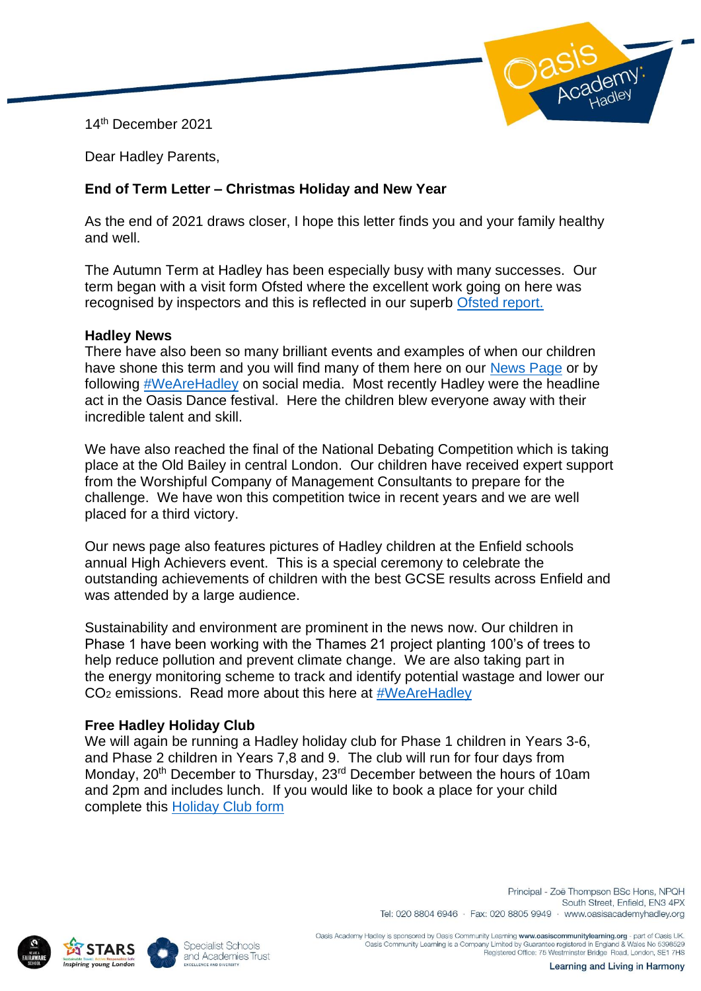14th December 2021



Dear Hadley Parents,

# **End of Term Letter – Christmas Holiday and New Year**

As the end of 2021 draws closer, I hope this letter finds you and your family healthy and well.

The Autumn Term at Hadley has been especially busy with many successes. Our term began with a visit form Ofsted where the excellent work going on here was recognised by inspectors and this is reflected in our superb [Ofsted report.](https://files.ofsted.gov.uk/v1/file/50171761)

### **Hadley News**

There have also been so many brilliant events and examples of when our children have shone this term and you will find many of them here on our [News Page](https://www.oasisacademyhadley.org/news-and-events/latest-news) or by following [#WeAreHadley](https://twitter.com/hashtag/wearehadley) on social media. Most recently Hadley were the headline act in the Oasis Dance festival. Here the children blew everyone away with their incredible talent and skill.

We have also reached the final of the National Debating Competition which is taking place at the Old Bailey in central London. Our children have received expert support from the Worshipful Company of Management Consultants to prepare for the challenge. We have won this competition twice in recent years and we are well placed for a third victory.

Our news page also features pictures of Hadley children at the Enfield schools annual High Achievers event. This is a special ceremony to celebrate the outstanding achievements of children with the best GCSE results across Enfield and was attended by a large audience.

Sustainability and environment are prominent in the news now. Our children in Phase 1 have been working with the Thames 21 project planting 100's of trees to help reduce pollution and prevent climate change. We are also taking part in the energy monitoring scheme to track and identify potential wastage and lower our CO<sup>2</sup> emissions. Read more about this here at [#WeAreHadley](https://twitter.com/hashtag/wearehadley)

# **Free Hadley Holiday Club**

We will again be running a Hadley holiday club for Phase 1 children in Years 3-6, and Phase 2 children in Years 7,8 and 9. The club will run for four days from Monday, 20<sup>th</sup> December to Thursday, 23<sup>rd</sup> December between the hours of 10am and 2pm and includes lunch. If you would like to book a place for your child complete this [Holiday Club form](https://forms.office.com/Pages/ResponsePage.aspx?id=zz3XjXy17EC3-HVbUS2fe6g4rOemN7NHqhqidRQKkpZURE04RzQ1MVdHWlBFVVY1UDdZWVZFVUM2RC4u)





Principal - Zoë Thompson BSc Hons, NPQH South Street, Enfield, FN3 4PX Tel: 020 8804 6946 · Fax: 020 8805 9949 · www.oasisacademyhadley.org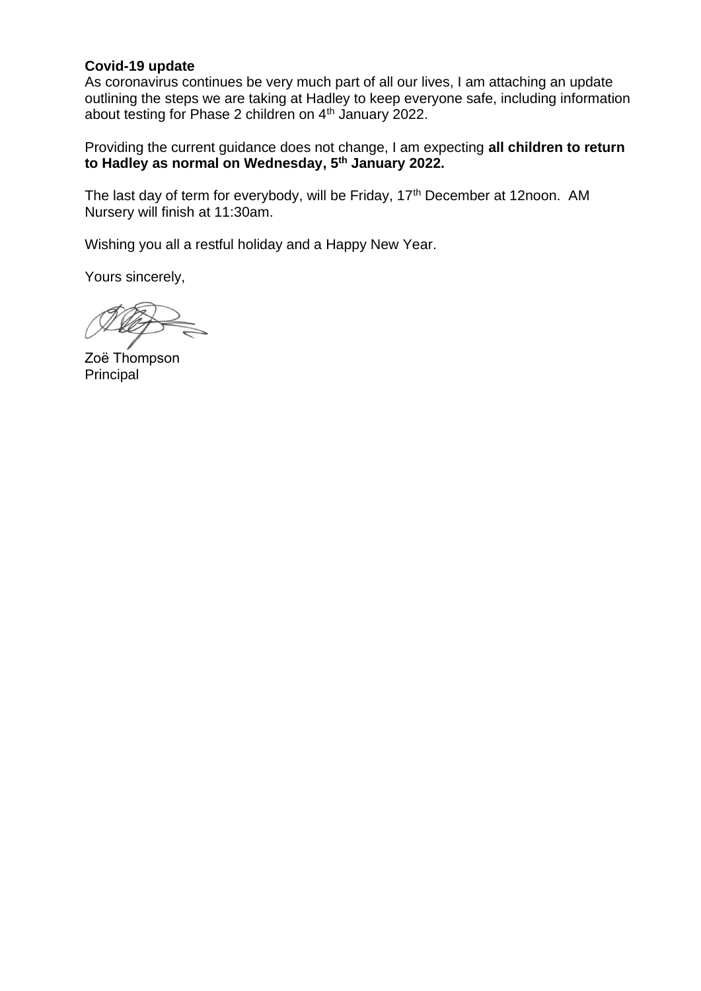## **Covid-19 update**

As coronavirus continues be very much part of all our lives, I am attaching an update outlining the steps we are taking at Hadley to keep everyone safe, including information about testing for Phase 2 children on 4th January 2022.

Providing the current guidance does not change, I am expecting **all children to return to Hadley as normal on Wednesday, 5 th January 2022.**

The last day of term for everybody, will be Friday, 17<sup>th</sup> December at 12noon. AM Nursery will finish at 11:30am.

Wishing you all a restful holiday and a Happy New Year.

Yours sincerely,

Zoё Thompson Principal